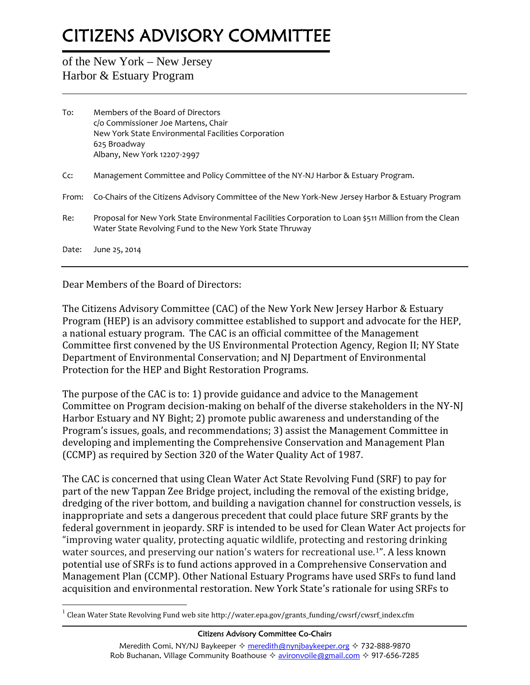## **CITIZENS ADVISORY COMMITTEE**

## of the New York – New Jersey Harbor & Estuary Program

| To:   | Members of the Board of Directors<br>c/o Commissioner Joe Martens, Chair<br>New York State Environmental Facilities Corporation<br>625 Broadway<br>Albany, New York 12207-2997 |
|-------|--------------------------------------------------------------------------------------------------------------------------------------------------------------------------------|
| Cc:   | Management Committee and Policy Committee of the NY-NJ Harbor & Estuary Program.                                                                                               |
| From: | Co-Chairs of the Citizens Advisory Committee of the New York-New Jersey Harbor & Estuary Program                                                                               |
| Re:   | Proposal for New York State Environmental Facilities Corporation to Loan \$511 Million from the Clean<br>Water State Revolving Fund to the New York State Thruway              |
| Date: | June 25, 2014                                                                                                                                                                  |

Dear Members of the Board of Directors:

The Citizens Advisory Committee (CAC) of the New York New Jersey Harbor & Estuary Program (HEP) is an advisory committee established to support and advocate for the HEP, a national estuary program. The CAC is an official committee of the Management Committee first convened by the US Environmental Protection Agency, Region II; NY State Department of Environmental Conservation; and NJ Department of Environmental Protection for the HEP and Bight Restoration Programs.

The purpose of the CAC is to: 1) provide guidance and advice to the Management Committee on Program decision-making on behalf of the diverse stakeholders in the NY-NJ Harbor Estuary and NY Bight; 2) promote public awareness and understanding of the Program's issues, goals, and recommendations; 3) assist the Management Committee in developing and implementing the Comprehensive Conservation and Management Plan (CCMP) as required by Section 320 of the Water Quality Act of 1987.

The CAC is concerned that using Clean Water Act State Revolving Fund (SRF) to pay for part of the new Tappan Zee Bridge project, including the removal of the existing bridge, dredging of the river bottom, and building a navigation channel for construction vessels, is inappropriate and sets a dangerous precedent that could place future SRF grants by the federal government in jeopardy. SRF is intended to be used for Clean Water Act projects for "improving water quality, protecting aquatic wildlife, protecting and restoring drinking water sources, and preserving our nation's waters for recreational use.<sup>1"</sup>. A less known potential use of SRFs is to fund actions approved in a Comprehensive Conservation and Management Plan (CCMP). Other National Estuary Programs have used SRFs to fund land acquisition and environmental restoration. New York State's rationale for using SRFs to

## **Citizens Advisory Committee Co-Chairs**

 $1$  Clean Water State Revolving Fund web site http://water.epa.gov/grants\_funding/cwsrf/cwsrf\_index.cfm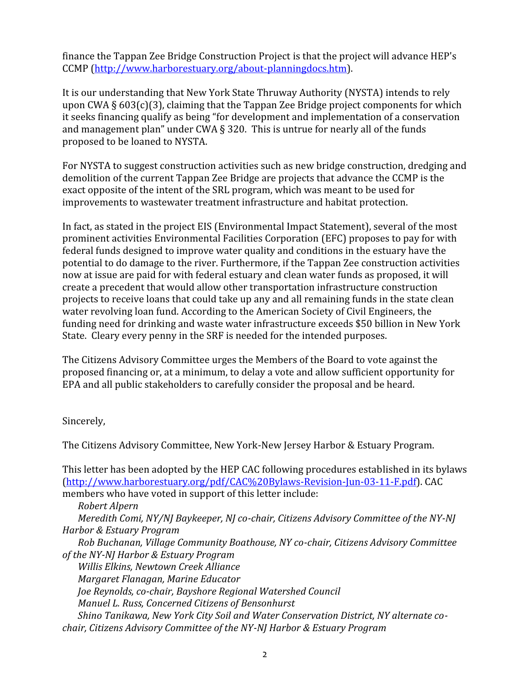finance the Tappan Zee Bridge Construction Project is that the project will advance HEP's CCMP (http://www.harborestuary.org/about-planningdocs.htm).

It is our understanding that New York State Thruway Authority (NYSTA) intends to rely upon CWA § 603(c)(3), claiming that the Tappan Zee Bridge project components for which it seeks financing qualify as being "for development and implementation of a conservation and management plan" under CWA § 320. This is untrue for nearly all of the funds proposed to be loaned to NYSTA.

For NYSTA to suggest construction activities such as new bridge construction, dredging and demolition of the current Tappan Zee Bridge are projects that advance the CCMP is the exact opposite of the intent of the SRL program, which was meant to be used for improvements to wastewater treatment infrastructure and habitat protection.

In fact, as stated in the project EIS (Environmental Impact Statement), several of the most prominent activities Environmental Facilities Corporation (EFC) proposes to pay for with federal funds designed to improve water quality and conditions in the estuary have the potential to do damage to the river. Furthermore, if the Tappan Zee construction activities now at issue are paid for with federal estuary and clean water funds as proposed, it will create a precedent that would allow other transportation infrastructure construction projects to receive loans that could take up any and all remaining funds in the state clean water revolving loan fund. According to the American Society of Civil Engineers, the funding need for drinking and waste water infrastructure exceeds \$50 billion in New York State. Cleary every penny in the SRF is needed for the intended purposes.

The Citizens Advisory Committee urges the Members of the Board to vote against the proposed financing or, at a minimum, to delay a vote and allow sufficient opportunity for EPA and all public stakeholders to carefully consider the proposal and be heard.

Sincerely,

The Citizens Advisory Committee, New York-New Jersey Harbor & Estuary Program.

This letter has been adopted by the HEP CAC following procedures established in its bylaws (http://www.harborestuary.org/pdf/CAC%20Bylaws-Revision-Jun-03-11-F.pdf). CAC members who have voted in support of this letter include:

*Robert Alpern*

*Meredith Comi, NY/NJ Baykeeper, NJ co-chair, Citizens Advisory Committee of the NY-NJ Harbor & Estuary Program*

*Rob Buchanan, Village Community Boathouse, NY co-chair, Citizens Advisory Committee of the NY-NJ Harbor & Estuary Program*

*Willis Elkins, Newtown Creek Alliance Margaret Flanagan, Marine Educator Joe Reynolds, co-chair, Bayshore Regional Watershed Council Manuel L. Russ, Concerned Citizens of Bensonhurst Shino Tanikawa, New York City Soil and Water Conservation District, NY alternate co chair, Citizens Advisory Committee of the NY-NJ Harbor & Estuary Program*